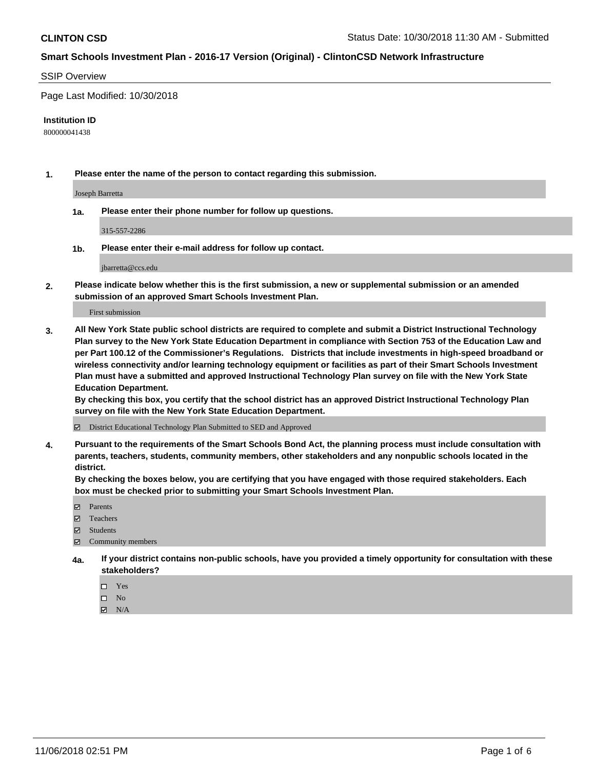### SSIP Overview

Page Last Modified: 10/30/2018

#### **Institution ID**

800000041438

**1. Please enter the name of the person to contact regarding this submission.**

Joseph Barretta

**1a. Please enter their phone number for follow up questions.**

315-557-2286

**1b. Please enter their e-mail address for follow up contact.**

jbarretta@ccs.edu

**2. Please indicate below whether this is the first submission, a new or supplemental submission or an amended submission of an approved Smart Schools Investment Plan.**

First submission

**3. All New York State public school districts are required to complete and submit a District Instructional Technology Plan survey to the New York State Education Department in compliance with Section 753 of the Education Law and per Part 100.12 of the Commissioner's Regulations. Districts that include investments in high-speed broadband or wireless connectivity and/or learning technology equipment or facilities as part of their Smart Schools Investment Plan must have a submitted and approved Instructional Technology Plan survey on file with the New York State Education Department.** 

**By checking this box, you certify that the school district has an approved District Instructional Technology Plan survey on file with the New York State Education Department.**

District Educational Technology Plan Submitted to SED and Approved

**4. Pursuant to the requirements of the Smart Schools Bond Act, the planning process must include consultation with parents, teachers, students, community members, other stakeholders and any nonpublic schools located in the district.** 

**By checking the boxes below, you are certifying that you have engaged with those required stakeholders. Each box must be checked prior to submitting your Smart Schools Investment Plan.**

- **□** Parents
- Teachers
- Students
- $\boxtimes$  Community members
- **4a. If your district contains non-public schools, have you provided a timely opportunity for consultation with these stakeholders?**
	- $\Box$  Yes
	- $\qquad \qquad$  No
	- $\blacksquare$  N/A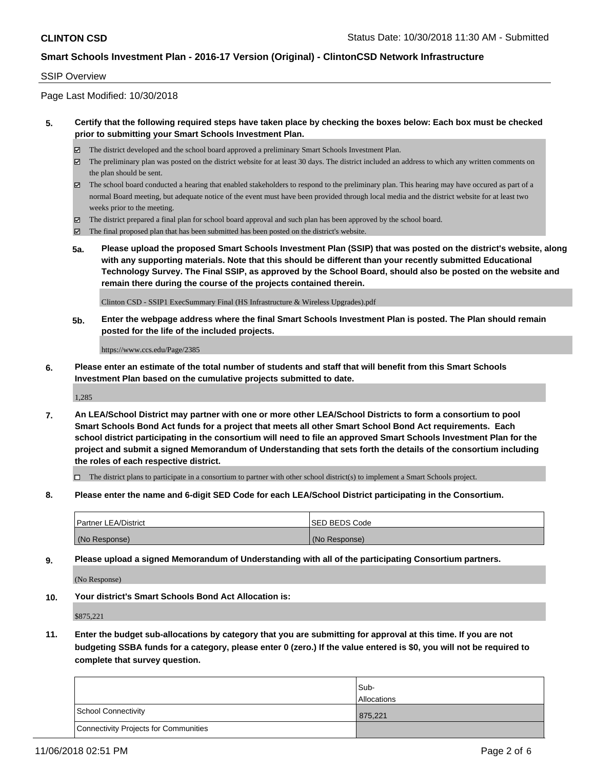#### SSIP Overview

Page Last Modified: 10/30/2018

### **5. Certify that the following required steps have taken place by checking the boxes below: Each box must be checked prior to submitting your Smart Schools Investment Plan.**

- The district developed and the school board approved a preliminary Smart Schools Investment Plan.
- $\boxtimes$  The preliminary plan was posted on the district website for at least 30 days. The district included an address to which any written comments on the plan should be sent.
- $\boxtimes$  The school board conducted a hearing that enabled stakeholders to respond to the preliminary plan. This hearing may have occured as part of a normal Board meeting, but adequate notice of the event must have been provided through local media and the district website for at least two weeks prior to the meeting.
- The district prepared a final plan for school board approval and such plan has been approved by the school board.
- $\boxtimes$  The final proposed plan that has been submitted has been posted on the district's website.
- **5a. Please upload the proposed Smart Schools Investment Plan (SSIP) that was posted on the district's website, along with any supporting materials. Note that this should be different than your recently submitted Educational Technology Survey. The Final SSIP, as approved by the School Board, should also be posted on the website and remain there during the course of the projects contained therein.**

Clinton CSD - SSIP1 ExecSummary Final (HS Infrastructure & Wireless Upgrades).pdf

**5b. Enter the webpage address where the final Smart Schools Investment Plan is posted. The Plan should remain posted for the life of the included projects.**

https://www.ccs.edu/Page/2385

**6. Please enter an estimate of the total number of students and staff that will benefit from this Smart Schools Investment Plan based on the cumulative projects submitted to date.**

1,285

**7. An LEA/School District may partner with one or more other LEA/School Districts to form a consortium to pool Smart Schools Bond Act funds for a project that meets all other Smart School Bond Act requirements. Each school district participating in the consortium will need to file an approved Smart Schools Investment Plan for the project and submit a signed Memorandum of Understanding that sets forth the details of the consortium including the roles of each respective district.**

 $\Box$  The district plans to participate in a consortium to partner with other school district(s) to implement a Smart Schools project.

**8. Please enter the name and 6-digit SED Code for each LEA/School District participating in the Consortium.**

| <b>Partner LEA/District</b> | <b>ISED BEDS Code</b> |
|-----------------------------|-----------------------|
| (No Response)               | (No Response)         |

**9. Please upload a signed Memorandum of Understanding with all of the participating Consortium partners.**

(No Response)

**10. Your district's Smart Schools Bond Act Allocation is:**

\$875,221

**11. Enter the budget sub-allocations by category that you are submitting for approval at this time. If you are not budgeting SSBA funds for a category, please enter 0 (zero.) If the value entered is \$0, you will not be required to complete that survey question.**

|                                              | Sub-<br><b>Allocations</b> |
|----------------------------------------------|----------------------------|
| <b>School Connectivity</b>                   | 875,221                    |
| <b>Connectivity Projects for Communities</b> |                            |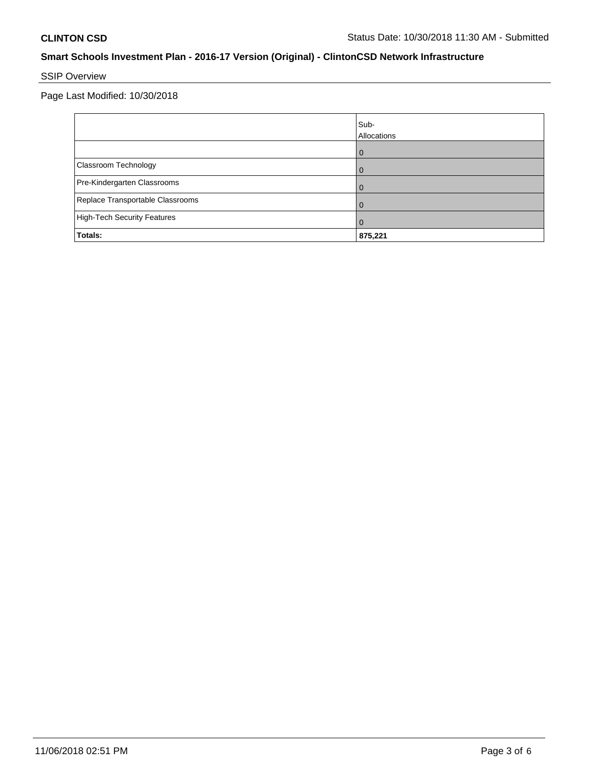# SSIP Overview

Page Last Modified: 10/30/2018

|                                    | Sub-<br>Allocations |
|------------------------------------|---------------------|
|                                    | O                   |
| Classroom Technology               |                     |
| Pre-Kindergarten Classrooms        | 0                   |
| Replace Transportable Classrooms   |                     |
| <b>High-Tech Security Features</b> | 0                   |
| Totals:                            | 875,221             |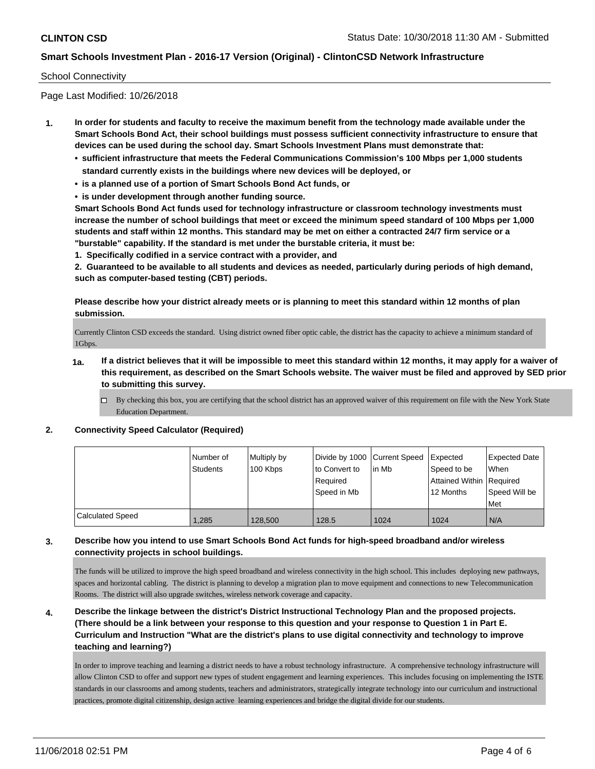#### School Connectivity

Page Last Modified: 10/26/2018

- **1. In order for students and faculty to receive the maximum benefit from the technology made available under the Smart Schools Bond Act, their school buildings must possess sufficient connectivity infrastructure to ensure that devices can be used during the school day. Smart Schools Investment Plans must demonstrate that:**
	- **• sufficient infrastructure that meets the Federal Communications Commission's 100 Mbps per 1,000 students standard currently exists in the buildings where new devices will be deployed, or**
	- **• is a planned use of a portion of Smart Schools Bond Act funds, or**
	- **• is under development through another funding source.**

**Smart Schools Bond Act funds used for technology infrastructure or classroom technology investments must increase the number of school buildings that meet or exceed the minimum speed standard of 100 Mbps per 1,000 students and staff within 12 months. This standard may be met on either a contracted 24/7 firm service or a "burstable" capability. If the standard is met under the burstable criteria, it must be:**

**1. Specifically codified in a service contract with a provider, and**

**2. Guaranteed to be available to all students and devices as needed, particularly during periods of high demand, such as computer-based testing (CBT) periods.**

**Please describe how your district already meets or is planning to meet this standard within 12 months of plan submission.**

Currently Clinton CSD exceeds the standard. Using district owned fiber optic cable, the district has the capacity to achieve a minimum standard of 1Gbps.

- **1a. If a district believes that it will be impossible to meet this standard within 12 months, it may apply for a waiver of this requirement, as described on the Smart Schools website. The waiver must be filed and approved by SED prior to submitting this survey.**
	- By checking this box, you are certifying that the school district has an approved waiver of this requirement on file with the New York State Education Department.

#### **2. Connectivity Speed Calculator (Required)**

|                         | Number of    | Multiply by | Divide by 1000 Current Speed |        | Expected                   | <b>Expected Date</b> |
|-------------------------|--------------|-------------|------------------------------|--------|----------------------------|----------------------|
|                         | Students     | 100 Kbps    | to Convert to                | lin Mb | Speed to be                | <b>When</b>          |
|                         |              |             | Required                     |        | Attained Within   Required |                      |
|                         |              |             | Speed in Mb                  |        | 12 Months                  | Speed Will be        |
|                         |              |             |                              |        |                            | Met                  |
| <b>Calculated Speed</b> | <b>1.285</b> | 128,500     | 128.5                        | 1024   | 1024                       | N/A                  |

### **3. Describe how you intend to use Smart Schools Bond Act funds for high-speed broadband and/or wireless connectivity projects in school buildings.**

The funds will be utilized to improve the high speed broadband and wireless connectivity in the high school. This includes deploying new pathways, spaces and horizontal cabling. The district is planning to develop a migration plan to move equipment and connections to new Telecommunication Rooms. The district will also upgrade switches, wireless network coverage and capacity.

**4. Describe the linkage between the district's District Instructional Technology Plan and the proposed projects. (There should be a link between your response to this question and your response to Question 1 in Part E. Curriculum and Instruction "What are the district's plans to use digital connectivity and technology to improve teaching and learning?)**

In order to improve teaching and learning a district needs to have a robust technology infrastructure. A comprehensive technology infrastructure will allow Clinton CSD to offer and support new types of student engagement and learning experiences. This includes focusing on implementing the ISTE standards in our classrooms and among students, teachers and administrators, strategically integrate technology into our curriculum and instructional practices, promote digital citizenship, design active learning experiences and bridge the digital divide for our students.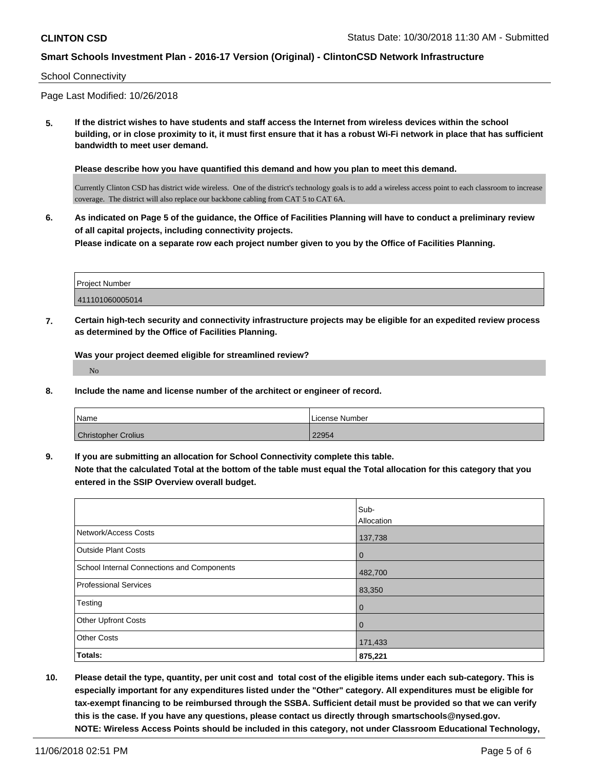#### School Connectivity

Page Last Modified: 10/26/2018

**5. If the district wishes to have students and staff access the Internet from wireless devices within the school building, or in close proximity to it, it must first ensure that it has a robust Wi-Fi network in place that has sufficient bandwidth to meet user demand.**

**Please describe how you have quantified this demand and how you plan to meet this demand.**

Currently Clinton CSD has district wide wireless. One of the district's technology goals is to add a wireless access point to each classroom to increase coverage. The district will also replace our backbone cabling from CAT 5 to CAT 6A.

**6. As indicated on Page 5 of the guidance, the Office of Facilities Planning will have to conduct a preliminary review of all capital projects, including connectivity projects. Please indicate on a separate row each project number given to you by the Office of Facilities Planning.**

| Project Number  |  |
|-----------------|--|
| 411101060005014 |  |

**7. Certain high-tech security and connectivity infrastructure projects may be eligible for an expedited review process as determined by the Office of Facilities Planning.**

**Was your project deemed eligible for streamlined review?** No

**8. Include the name and license number of the architect or engineer of record.**

| Name                       | License Number |
|----------------------------|----------------|
| <b>Christopher Crolius</b> | 22954          |

**9. If you are submitting an allocation for School Connectivity complete this table. Note that the calculated Total at the bottom of the table must equal the Total allocation for this category that you entered in the SSIP Overview overall budget.** 

|                                            | Sub-           |
|--------------------------------------------|----------------|
|                                            | Allocation     |
| Network/Access Costs                       | 137,738        |
| <b>Outside Plant Costs</b>                 | l 0            |
| School Internal Connections and Components | 482,700        |
| <b>Professional Services</b>               | 83,350         |
| Testing                                    | l 0            |
| <b>Other Upfront Costs</b>                 | $\overline{0}$ |
| <b>Other Costs</b>                         | 171,433        |
| Totals:                                    | 875,221        |

**10. Please detail the type, quantity, per unit cost and total cost of the eligible items under each sub-category. This is especially important for any expenditures listed under the "Other" category. All expenditures must be eligible for tax-exempt financing to be reimbursed through the SSBA. Sufficient detail must be provided so that we can verify this is the case. If you have any questions, please contact us directly through smartschools@nysed.gov. NOTE: Wireless Access Points should be included in this category, not under Classroom Educational Technology,**